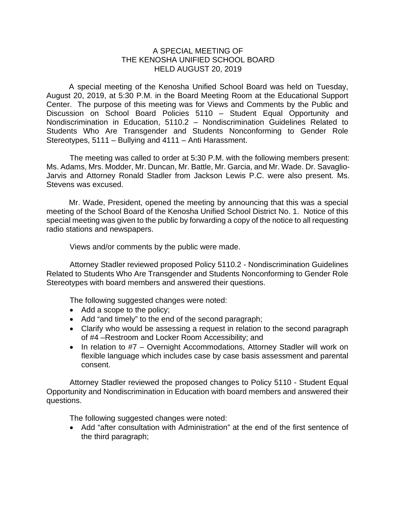## A SPECIAL MEETING OF THE KENOSHA UNIFIED SCHOOL BOARD HELD AUGUST 20, 2019

A special meeting of the Kenosha Unified School Board was held on Tuesday, August 20, 2019, at 5:30 P.M. in the Board Meeting Room at the Educational Support Center. The purpose of this meeting was for Views and Comments by the Public and Discussion on School Board Policies 5110 – Student Equal Opportunity and Nondiscrimination in Education, 5110.2 – Nondiscrimination Guidelines Related to Students Who Are Transgender and Students Nonconforming to Gender Role Stereotypes, 5111 – Bullying and 4111 – Anti Harassment.

The meeting was called to order at 5:30 P.M. with the following members present: Ms. Adams, Mrs. Modder, Mr. Duncan, Mr. Battle, Mr. Garcia, and Mr. Wade. Dr. Savaglio-Jarvis and Attorney Ronald Stadler from Jackson Lewis P.C. were also present. Ms. Stevens was excused.

Mr. Wade, President, opened the meeting by announcing that this was a special meeting of the School Board of the Kenosha Unified School District No. 1. Notice of this special meeting was given to the public by forwarding a copy of the notice to all requesting radio stations and newspapers.

Views and/or comments by the public were made.

Attorney Stadler reviewed proposed Policy 5110.2 - Nondiscrimination Guidelines Related to Students Who Are Transgender and Students Nonconforming to Gender Role Stereotypes with board members and answered their questions.

The following suggested changes were noted:

- Add a scope to the policy;
- Add "and timely" to the end of the second paragraph;
- Clarify who would be assessing a request in relation to the second paragraph of #4 –Restroom and Locker Room Accessibility; and
- In relation to #7 Overnight Accommodations, Attorney Stadler will work on flexible language which includes case by case basis assessment and parental consent.

Attorney Stadler reviewed the proposed changes to Policy 5110 - Student Equal Opportunity and Nondiscrimination in Education with board members and answered their questions.

The following suggested changes were noted:

• Add "after consultation with Administration" at the end of the first sentence of the third paragraph;